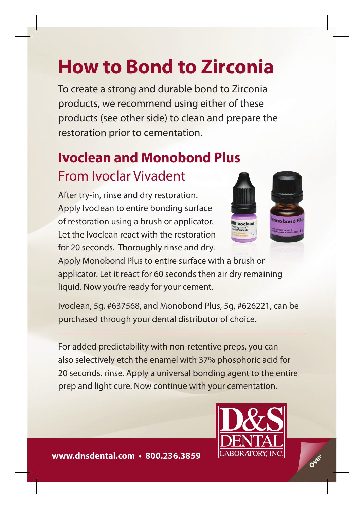# **How to Bond to Zirconia**

To create a strong and durable bond to Zirconia products, we recommend using either of these products (see other side) to clean and prepare the restoration prior to cementation.

### **Ivoclean and Monobond Plus**  From Ivoclar Vivadent

After try-in, rinse and dry restoration. Apply Ivoclean to entire bonding surface of restoration using a brush or applicator. Let the Ivoclean react with the restoration for 20 seconds. Thoroughly rinse and dry.



Apply Monobond Plus to entire surface with a brush or applicator. Let it react for 60 seconds then air dry remaining liquid. Now you're ready for your cement.

Ivoclean, 5g, #637568, and Monobond Plus, 5g, #626221, can be purchased through your dental distributor of choice.

For added predictability with non-retentive preps, you can also selectively etch the enamel with 37% phosphoric acid for 20 seconds, rinse. Apply a universal bonding agent to the entire prep and light cure. Now continue with your cementation.



**www.dnsdental.com • 800.236.3859**